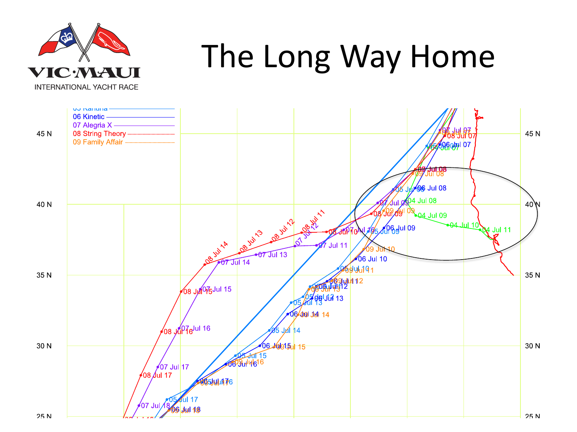

## The Long Way Home

**INTERNATIONAL YACHT RACE** 

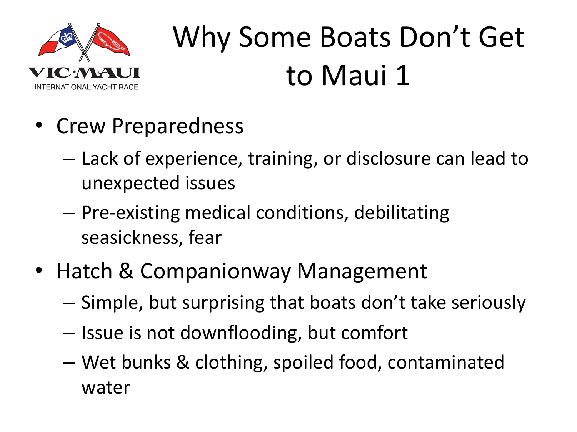

## Why Some Boats Don't Get to Maui 1

- Crew Preparedness
	- Lack of experience, training, or disclosure can lead to unexpected issues
	- Pre-existing medical conditions, debilitating seasickness, fear
- Hatch & Companionway Management
	- Simple, but surprising that boats don't take seriously
	- Issue is not downflooding, but comfort
	- Wet bunks & clothing, spoiled food, contaminated water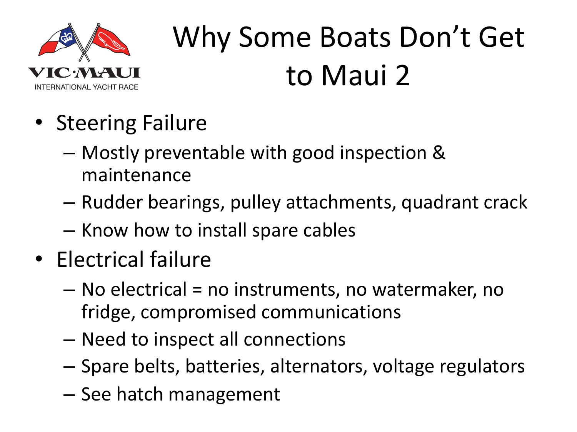

## Why Some Boats Don't Get to Maui 2

- Steering Failure
	- Mostly preventable with good inspection & maintenance
	- Rudder bearings, pulley attachments, quadrant crack
	- Know how to install spare cables
- Electrical failure
	- No electrical = no instruments, no watermaker, no fridge, compromised communications
	- Need to inspect all connections
	- Spare belts, batteries, alternators, voltage regulators
	- See hatch management